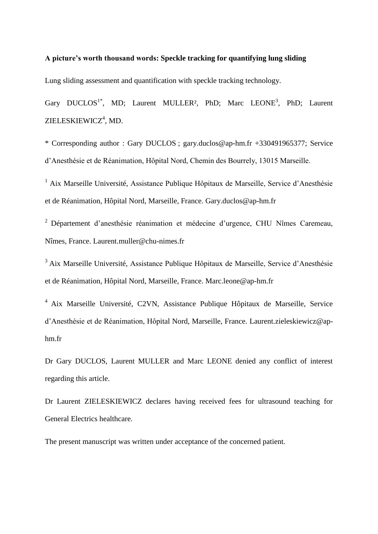## **A picture's worth thousand words: Speckle tracking for quantifying lung sliding**

Lung sliding assessment and quantification with speckle tracking technology.

Gary DUCLOS<sup>1\*</sup>, MD; Laurent MULLER<sup>2</sup>, PhD; Marc LEONE<sup>3</sup>, PhD; Laurent ZIELESKIEWICZ<sup>4</sup>, MD.

\* Corresponding author : Gary DUCLOS ; gary.duclos@ap-hm.fr +330491965377; Service d'Anesthésie et de Réanimation, Hôpital Nord, Chemin des Bourrely, 13015 Marseille.

<sup>1</sup> Aix Marseille Université, Assistance Publique Hôpitaux de Marseille, Service d'Anesthésie et de Réanimation, Hôpital Nord, Marseille, France. Gary.duclos@ap-hm.fr

<sup>2</sup> Département d'anesthésie réanimation et médecine d'urgence. CHU Nîmes Caremeau, Nîmes, France. Laurent.muller@chu-nimes.fr

<sup>3</sup>Aix Marseille Université, Assistance Publique Hôpitaux de Marseille, Service d'Anesthésie et de Réanimation, Hôpital Nord, Marseille, France. Marc.leone@ap-hm.fr

<sup>4</sup> Aix Marseille Université, C2VN, Assistance Publique Hôpitaux de Marseille, Service d'Anesthésie et de Réanimation, Hôpital Nord, Marseille, France. Laurent.zieleskiewicz@aphm.fr

Dr Gary DUCLOS, Laurent MULLER and Marc LEONE denied any conflict of interest regarding this article.

Dr Laurent ZIELESKIEWICZ declares having received fees for ultrasound teaching for General Electrics healthcare.

The present manuscript was written under acceptance of the concerned patient.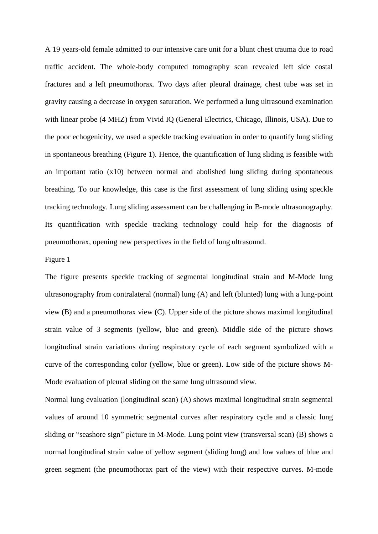A 19 years-old female admitted to our intensive care unit for a blunt chest trauma due to road traffic accident. The whole-body computed tomography scan revealed left side costal fractures and a left pneumothorax. Two days after pleural drainage, chest tube was set in gravity causing a decrease in oxygen saturation. We performed a lung ultrasound examination with linear probe (4 MHZ) from Vivid IQ (General Electrics, Chicago, Illinois, USA). Due to the poor echogenicity, we used a speckle tracking evaluation in order to quantify lung sliding in spontaneous breathing (Figure 1). Hence, the quantification of lung sliding is feasible with an important ratio (x10) between normal and abolished lung sliding during spontaneous breathing. To our knowledge, this case is the first assessment of lung sliding using speckle tracking technology. Lung sliding assessment can be challenging in B-mode ultrasonography. Its quantification with speckle tracking technology could help for the diagnosis of pneumothorax, opening new perspectives in the field of lung ultrasound.

## Figure 1

The figure presents speckle tracking of segmental longitudinal strain and M-Mode lung ultrasonography from contralateral (normal) lung (A) and left (blunted) lung with a lung-point view (B) and a pneumothorax view (C). Upper side of the picture shows maximal longitudinal strain value of 3 segments (yellow, blue and green). Middle side of the picture shows longitudinal strain variations during respiratory cycle of each segment symbolized with a curve of the corresponding color (yellow, blue or green). Low side of the picture shows M-Mode evaluation of pleural sliding on the same lung ultrasound view.

Normal lung evaluation (longitudinal scan) (A) shows maximal longitudinal strain segmental values of around 10 symmetric segmental curves after respiratory cycle and a classic lung sliding or "seashore sign" picture in M-Mode. Lung point view (transversal scan) (B) shows a normal longitudinal strain value of yellow segment (sliding lung) and low values of blue and green segment (the pneumothorax part of the view) with their respective curves. M-mode